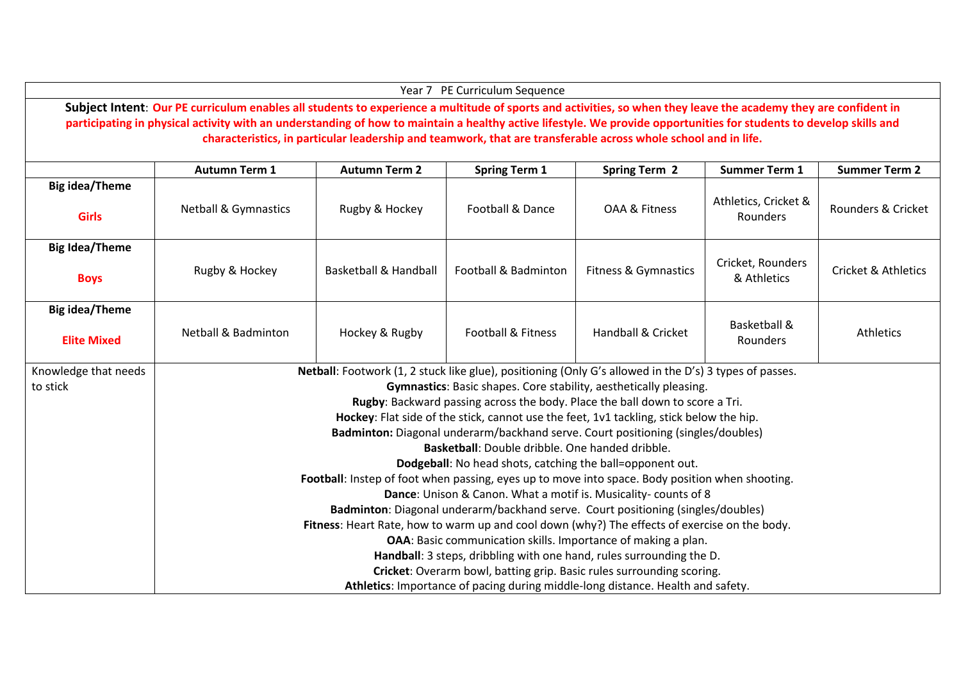|                                                                                                                                                                                                                                                                                                                                                                                                                                                          |                                                                                                        |                                                                                                                                                                             | Year 7 PE Curriculum Sequence |                                 |                                     |                                |  |  |  |  |  |
|----------------------------------------------------------------------------------------------------------------------------------------------------------------------------------------------------------------------------------------------------------------------------------------------------------------------------------------------------------------------------------------------------------------------------------------------------------|--------------------------------------------------------------------------------------------------------|-----------------------------------------------------------------------------------------------------------------------------------------------------------------------------|-------------------------------|---------------------------------|-------------------------------------|--------------------------------|--|--|--|--|--|
| Subject Intent: Our PE curriculum enables all students to experience a multitude of sports and activities, so when they leave the academy they are confident in<br>participating in physical activity with an understanding of how to maintain a healthy active lifestyle. We provide opportunities for students to develop skills and<br>characteristics, in particular leadership and teamwork, that are transferable across whole school and in life. |                                                                                                        |                                                                                                                                                                             |                               |                                 |                                     |                                |  |  |  |  |  |
|                                                                                                                                                                                                                                                                                                                                                                                                                                                          | <b>Autumn Term 1</b>                                                                                   | <b>Autumn Term 2</b>                                                                                                                                                        | <b>Spring Term 1</b>          | <b>Spring Term 2</b>            | <b>Summer Term 1</b>                | <b>Summer Term 2</b>           |  |  |  |  |  |
| <b>Big idea/Theme</b>                                                                                                                                                                                                                                                                                                                                                                                                                                    |                                                                                                        |                                                                                                                                                                             |                               |                                 |                                     |                                |  |  |  |  |  |
| <b>Girls</b>                                                                                                                                                                                                                                                                                                                                                                                                                                             | <b>Netball &amp; Gymnastics</b>                                                                        | Rugby & Hockey                                                                                                                                                              | Football & Dance              | OAA & Fitness                   | Athletics, Cricket &<br>Rounders    | Rounders & Cricket             |  |  |  |  |  |
| <b>Big Idea/Theme</b>                                                                                                                                                                                                                                                                                                                                                                                                                                    |                                                                                                        |                                                                                                                                                                             |                               |                                 |                                     |                                |  |  |  |  |  |
| <b>Boys</b>                                                                                                                                                                                                                                                                                                                                                                                                                                              | Rugby & Hockey                                                                                         | <b>Basketball &amp; Handball</b>                                                                                                                                            | Football & Badminton          | <b>Fitness &amp; Gymnastics</b> | Cricket, Rounders<br>& Athletics    | <b>Cricket &amp; Athletics</b> |  |  |  |  |  |
| <b>Big idea/Theme</b>                                                                                                                                                                                                                                                                                                                                                                                                                                    |                                                                                                        |                                                                                                                                                                             |                               |                                 |                                     |                                |  |  |  |  |  |
| <b>Elite Mixed</b>                                                                                                                                                                                                                                                                                                                                                                                                                                       | <b>Netball &amp; Badminton</b>                                                                         | Hockey & Rugby                                                                                                                                                              | Football & Fitness            | Handball & Cricket              | <b>Basketball &amp;</b><br>Rounders | Athletics                      |  |  |  |  |  |
| Knowledge that needs                                                                                                                                                                                                                                                                                                                                                                                                                                     | Netball: Footwork (1, 2 stuck like glue), positioning (Only G's allowed in the D's) 3 types of passes. |                                                                                                                                                                             |                               |                                 |                                     |                                |  |  |  |  |  |
| to stick                                                                                                                                                                                                                                                                                                                                                                                                                                                 | Gymnastics: Basic shapes. Core stability, aesthetically pleasing.                                      |                                                                                                                                                                             |                               |                                 |                                     |                                |  |  |  |  |  |
|                                                                                                                                                                                                                                                                                                                                                                                                                                                          | Rugby: Backward passing across the body. Place the ball down to score a Tri.                           |                                                                                                                                                                             |                               |                                 |                                     |                                |  |  |  |  |  |
|                                                                                                                                                                                                                                                                                                                                                                                                                                                          |                                                                                                        | Hockey: Flat side of the stick, cannot use the feet, 1v1 tackling, stick below the hip.<br>Badminton: Diagonal underarm/backhand serve. Court positioning (singles/doubles) |                               |                                 |                                     |                                |  |  |  |  |  |
|                                                                                                                                                                                                                                                                                                                                                                                                                                                          |                                                                                                        | Basketball: Double dribble. One handed dribble.                                                                                                                             |                               |                                 |                                     |                                |  |  |  |  |  |
|                                                                                                                                                                                                                                                                                                                                                                                                                                                          | Dodgeball: No head shots, catching the ball=opponent out.                                              |                                                                                                                                                                             |                               |                                 |                                     |                                |  |  |  |  |  |
|                                                                                                                                                                                                                                                                                                                                                                                                                                                          | Football: Instep of foot when passing, eyes up to move into space. Body position when shooting.        |                                                                                                                                                                             |                               |                                 |                                     |                                |  |  |  |  |  |
|                                                                                                                                                                                                                                                                                                                                                                                                                                                          | Dance: Unison & Canon. What a motif is. Musicality-counts of 8                                         |                                                                                                                                                                             |                               |                                 |                                     |                                |  |  |  |  |  |
|                                                                                                                                                                                                                                                                                                                                                                                                                                                          |                                                                                                        | Badminton: Diagonal underarm/backhand serve. Court positioning (singles/doubles)                                                                                            |                               |                                 |                                     |                                |  |  |  |  |  |
|                                                                                                                                                                                                                                                                                                                                                                                                                                                          | Fitness: Heart Rate, how to warm up and cool down (why?) The effects of exercise on the body.          |                                                                                                                                                                             |                               |                                 |                                     |                                |  |  |  |  |  |
|                                                                                                                                                                                                                                                                                                                                                                                                                                                          | OAA: Basic communication skills. Importance of making a plan.                                          |                                                                                                                                                                             |                               |                                 |                                     |                                |  |  |  |  |  |
|                                                                                                                                                                                                                                                                                                                                                                                                                                                          | Handball: 3 steps, dribbling with one hand, rules surrounding the D.                                   |                                                                                                                                                                             |                               |                                 |                                     |                                |  |  |  |  |  |
|                                                                                                                                                                                                                                                                                                                                                                                                                                                          | Cricket: Overarm bowl, batting grip. Basic rules surrounding scoring.                                  |                                                                                                                                                                             |                               |                                 |                                     |                                |  |  |  |  |  |
|                                                                                                                                                                                                                                                                                                                                                                                                                                                          | Athletics: Importance of pacing during middle-long distance. Health and safety.                        |                                                                                                                                                                             |                               |                                 |                                     |                                |  |  |  |  |  |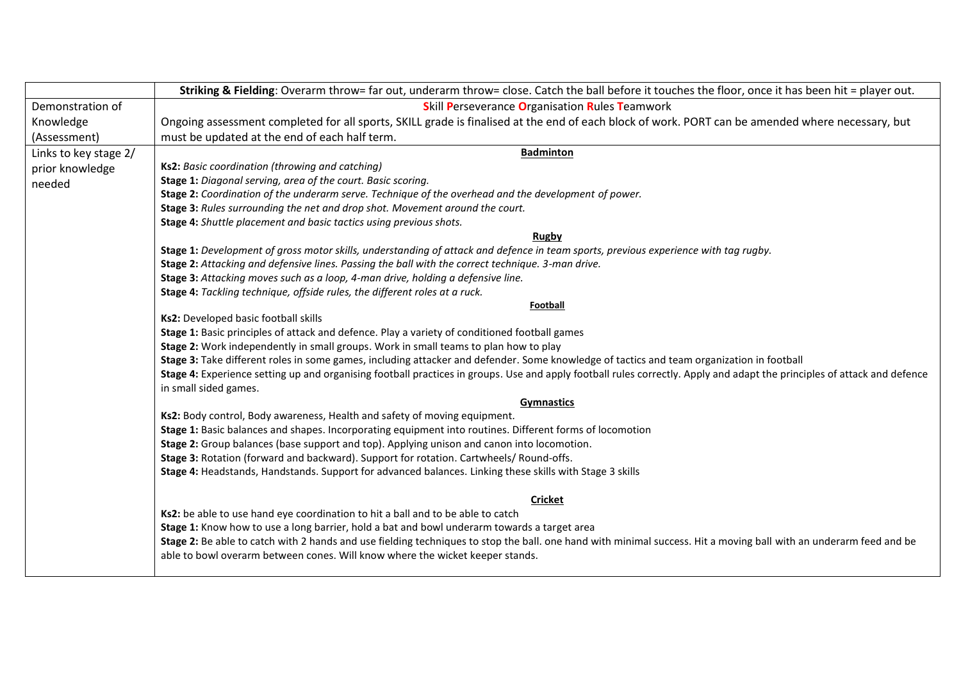|                       | Striking & Fielding: Overarm throw= far out, underarm throw= close. Catch the ball before it touches the floor, once it has been hit = player out.                             |  |  |  |  |  |  |
|-----------------------|--------------------------------------------------------------------------------------------------------------------------------------------------------------------------------|--|--|--|--|--|--|
| Demonstration of      | <b>Skill Perseverance Organisation Rules Teamwork</b>                                                                                                                          |  |  |  |  |  |  |
| Knowledge             | Ongoing assessment completed for all sports, SKILL grade is finalised at the end of each block of work. PORT can be amended where necessary, but                               |  |  |  |  |  |  |
| (Assessment)          | must be updated at the end of each half term.                                                                                                                                  |  |  |  |  |  |  |
| Links to key stage 2/ | <b>Badminton</b>                                                                                                                                                               |  |  |  |  |  |  |
| prior knowledge       | Ks2: Basic coordination (throwing and catching)                                                                                                                                |  |  |  |  |  |  |
| needed                | Stage 1: Diagonal serving, area of the court. Basic scoring.                                                                                                                   |  |  |  |  |  |  |
|                       | Stage 2: Coordination of the underarm serve. Technique of the overhead and the development of power.                                                                           |  |  |  |  |  |  |
|                       | Stage 3: Rules surrounding the net and drop shot. Movement around the court.                                                                                                   |  |  |  |  |  |  |
|                       | Stage 4: Shuttle placement and basic tactics using previous shots.                                                                                                             |  |  |  |  |  |  |
|                       | Rugby                                                                                                                                                                          |  |  |  |  |  |  |
|                       | Stage 1: Development of gross motor skills, understanding of attack and defence in team sports, previous experience with tag rugby.                                            |  |  |  |  |  |  |
|                       | Stage 2: Attacking and defensive lines. Passing the ball with the correct technique. 3-man drive.                                                                              |  |  |  |  |  |  |
|                       | Stage 3: Attacking moves such as a loop, 4-man drive, holding a defensive line.<br>Stage 4: Tackling technique, offside rules, the different roles at a ruck.                  |  |  |  |  |  |  |
|                       | Football                                                                                                                                                                       |  |  |  |  |  |  |
|                       | Ks2: Developed basic football skills                                                                                                                                           |  |  |  |  |  |  |
|                       | Stage 1: Basic principles of attack and defence. Play a variety of conditioned football games                                                                                  |  |  |  |  |  |  |
|                       | Stage 2: Work independently in small groups. Work in small teams to plan how to play                                                                                           |  |  |  |  |  |  |
|                       | Stage 3: Take different roles in some games, including attacker and defender. Some knowledge of tactics and team organization in football                                      |  |  |  |  |  |  |
|                       | Stage 4: Experience setting up and organising football practices in groups. Use and apply football rules correctly. Apply and adapt the principles of attack and defence       |  |  |  |  |  |  |
|                       | in small sided games.                                                                                                                                                          |  |  |  |  |  |  |
|                       | <b>Gymnastics</b>                                                                                                                                                              |  |  |  |  |  |  |
|                       | Ks2: Body control, Body awareness, Health and safety of moving equipment.                                                                                                      |  |  |  |  |  |  |
|                       | Stage 1: Basic balances and shapes. Incorporating equipment into routines. Different forms of locomotion                                                                       |  |  |  |  |  |  |
|                       | Stage 2: Group balances (base support and top). Applying unison and canon into locomotion.                                                                                     |  |  |  |  |  |  |
|                       | Stage 3: Rotation (forward and backward). Support for rotation. Cartwheels/ Round-offs.                                                                                        |  |  |  |  |  |  |
|                       | Stage 4: Headstands, Handstands. Support for advanced balances. Linking these skills with Stage 3 skills                                                                       |  |  |  |  |  |  |
|                       |                                                                                                                                                                                |  |  |  |  |  |  |
|                       | <b>Cricket</b>                                                                                                                                                                 |  |  |  |  |  |  |
|                       | Ks2: be able to use hand eye coordination to hit a ball and to be able to catch<br>Stage 1: Know how to use a long barrier, hold a bat and bowl underarm towards a target area |  |  |  |  |  |  |
|                       | Stage 2: Be able to catch with 2 hands and use fielding techniques to stop the ball. one hand with minimal success. Hit a moving ball with an underarm feed and be             |  |  |  |  |  |  |
|                       | able to bowl overarm between cones. Will know where the wicket keeper stands.                                                                                                  |  |  |  |  |  |  |
|                       |                                                                                                                                                                                |  |  |  |  |  |  |